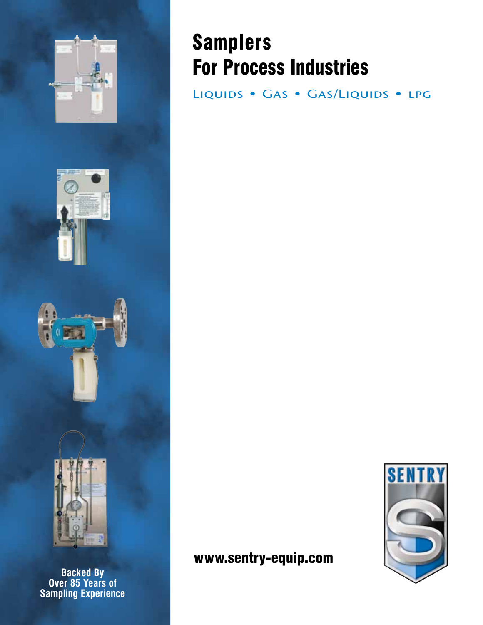





**Backed By Over 85 Years of Sampling Experience**

## Samplers For Process Industries

LIQUIDS • GAS • GAS/LIQUIDS • LPG

### www.sentry-equip.com

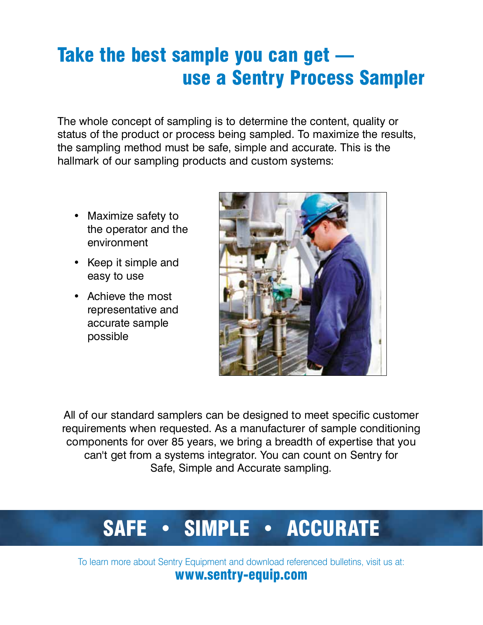## Take the best sample you can get use a Sentry Process Sampler

The whole concept of sampling is to determine the content, quality or status of the product or process being sampled. To maximize the results, the sampling method must be safe, simple and accurate. This is the hallmark of our sampling products and custom systems:

- Maximize safety to the operator and the environment
- Keep it simple and easy to use
- Achieve the most representative and accurate sample possible



All of our standard samplers can be designed to meet specific customer requirements when requested. As a manufacturer of sample conditioning components for over 85 years, we bring a breadth of expertise that you can't get from a systems integrator. You can count on Sentry for Safe, Simple and Accurate sampling.

# SAFE • SIMPLE • ACCURATE

To learn more about Sentry Equipment and download referenced bulletins, visit us at: www.sentry-equip.com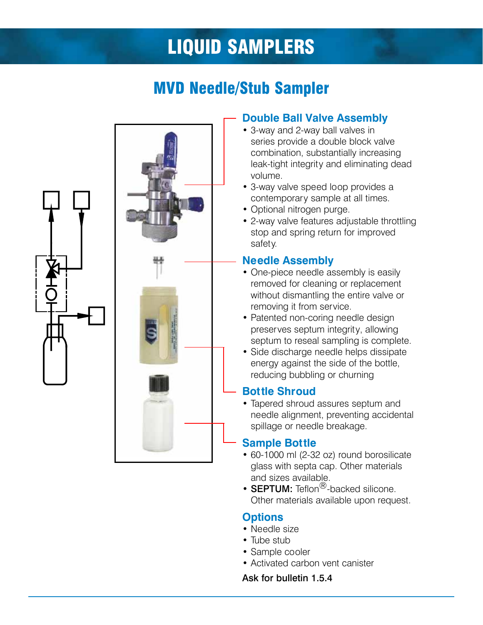## liquid samplers

## MVD Needle/Stub Sampler



#### **Double Ball Valve Assembly**

- 3-way and 2-way ball valves in series provide a double block valve combination, substantially increasing leak-tight integrity and eliminating dead volume.
- 3-way valve speed loop provides a contemporary sample at all times.
- Optional nitrogen purge.
- 2-way valve features adjustable throttling stop and spring return for improved safety.

#### **Needle Assembly**

- One-piece needle assembly is easily removed for cleaning or replacement without dismantling the entire valve or removing it from service.
- Patented non-coring needle design preserves septum integrity, allowing septum to reseal sampling is complete.
- Side discharge needle helps dissipate energy against the side of the bottle, reducing bubbling or churning

#### **Bottle Shroud**

• Tapered shroud assures septum and needle alignment, preventing accidental spillage or needle breakage.

#### **Sample Bottle**

- 60-1000 ml (2-32 oz) round borosilicate glass with septa cap. Other materials and sizes available.
- **SEPTUM:** Teflon<sup>®</sup>-backed silicone. Other materials available upon request.

#### **Options**

- Needle size
- Tube stub
- Sample cooler
- Activated carbon vent canister

Ask for bulletin 1.5.4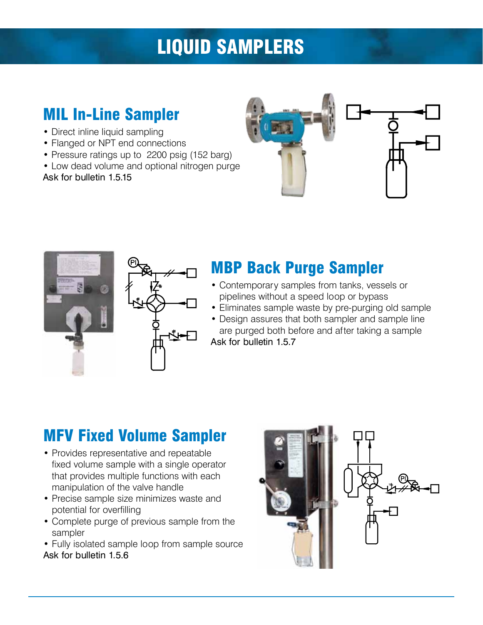## liquid samplers

## MIL In-Line Sampler

- Direct inline liquid sampling
- Flanged or NPT end connections
- Pressure ratings up to 2200 psig (152 barg)
- Low dead volume and optional nitrogen purge

Ask for bulletin 1.5.15







## MBP Back Purge Sampler

- Contemporary samples from tanks, vessels or pipelines without a speed loop or bypass
- Eliminates sample waste by pre-purging old sample
- Design assures that both sampler and sample line are purged both before and after taking a sample Ask for bulletin 1.5.7

## MFV Fixed Volume Sampler

- Provides representative and repeatable fixed volume sample with a single operator that provides multiple functions with each manipulation of the valve handle
- Precise sample size minimizes waste and potential for overfilling
- Complete purge of previous sample from the sampler
- Fully isolated sample loop from sample source Ask for bulletin 1.5.6

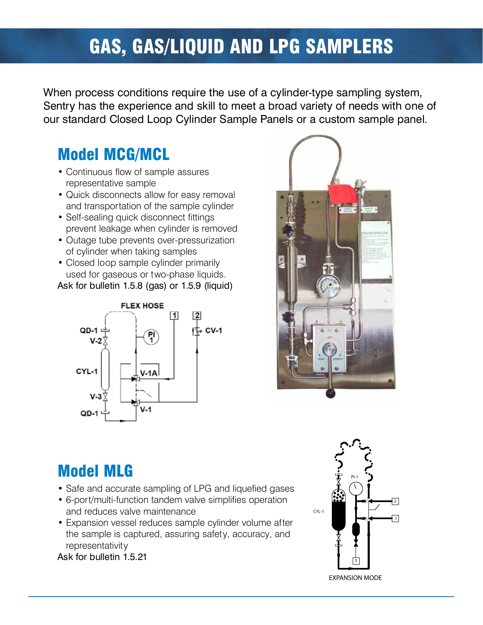## Gas, Gas/Liquid and LPG samplers

When process conditions require the use of a cylinder-type sampling system,<br>Sentry has the experience and skill to meet a broad variety of needs with one of Sentry has the experience and skill to meet a broad variety of needs with one of our standard Closed Loop Cylinder Sample Panels or a custom sample panel.

### Model MCG/MCL

- Continuous flow of sample assures representative sample
- Quick disconnects allow for easy removal and transportation of the sample cylinder
- Self-sealing quick disconnect fittings prevent leakage when cylinder is removed
- Outage tube prevents over-pressurization of cylinder when taking samples
- Closed loop sample cylinder primarily used for gaseous or two-phase liquids.

Ask for bulletin 1.5.8 (gas) or 1.5.9 (liquid)





### Model MLG

- Safe and accurate sampling of LPG and liquefied gases
- 6-port/multi-function tandem valve simplifies operation 2 2 and reduces valve maintenance exercises when the cru-1
- Expansion vessel reduces sample cylinder volume after 1 1 the sample is captured, assuring safety, accuracy, and representativity

Ask for bulletin 1.5.21

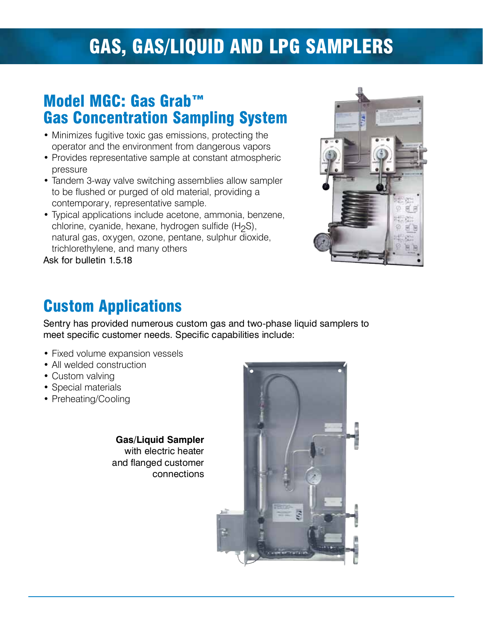## Gas, Gas/Liquid and LPG samplers

### Model MGC: Gas Grab™ Gas Concentration Sampling System

- Minimizes fugitive toxic gas emissions, protecting the operator and the environment from dangerous vapors
- Provides representative sample at constant atmospheric pressure
- Tandem 3-way valve switching assemblies allow sampler to be flushed or purged of old material, providing a contemporary, representative sample.
- Typical applications include acetone, ammonia, benzene, chlorine, cyanide, hexane, hydrogen sulfide  $(H<sub>2</sub>S)$ , natural gas, oxygen, ozone, pentane, sulphur dioxide, trichlorethylene, and many others

Ask for bulletin 1.5.18



## Custom Applications

Sentry has provided numerous custom gas and two-phase liquid samplers to meet specific customer needs. Specific capabilities include:

- Fixed volume expansion vessels
- All welded construction
- Custom valving
- Special materials
- Preheating/Cooling

**Gas/Liquid Sampler**  with electric heater<br>With excel customers and flanged customer connections

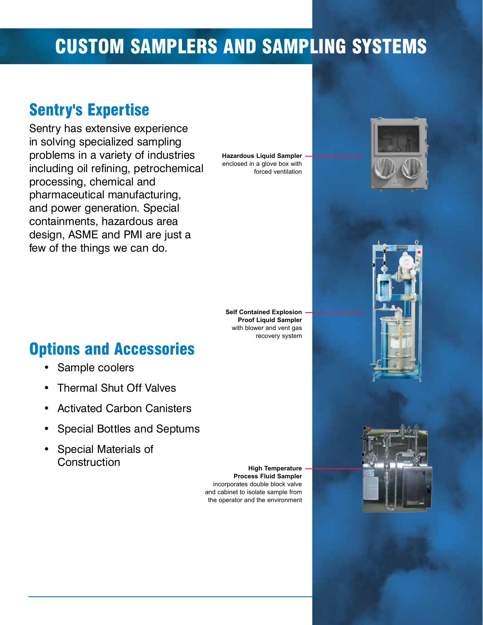## Custom Samplers and Sampling Systems

## Sentry's Expertise

Sentry has extensive experience<br>in solving specialized sampling problems in a variety of industries problems in a variety of industries including oil refining, petrochemical processing, chemical and<br>pharmaceutical manufacturing, pharmaceutical manufacturing, and power generation. Special containments, hazardous area design, AOME and PMI are just a few of the things we can do.

**Hazardous Liquid Sampler**  enclosed in a glove box with forced ventilation



**Self Contained Explosion Proof Liquid Sampler**  with blower and vent gas recovery system

### Options and Accessories

- Sample coolers
- Thermal Shut Off Valves
- Activated Carbon Canisters
- Special Bottles and Septums
- Special Materials of **Construction**

**High Temperature Process Fluid Sampler**  incorporates double block valve and cabinet to isolate sample from the operator and the environment